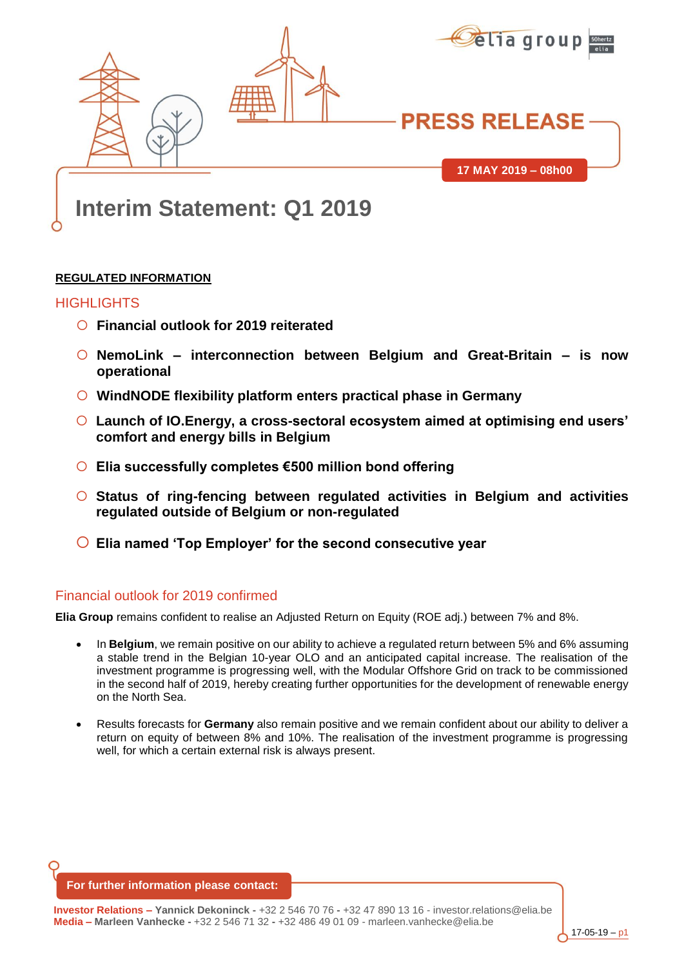

# **Interim Statement: Q1 2019**

#### **REGULATED INFORMATION**

#### HIGHLIGHTS

- **Financial outlook for 2019 reiterated**
- **NemoLink – interconnection between Belgium and Great-Britain – is now operational**
- **WindNODE flexibility platform enters practical phase in Germany**
- **Launch of IO.Energy, a cross-sectoral ecosystem aimed at optimising end users' comfort and energy bills in Belgium**
- **Elia successfully completes €500 million bond offering**
- **Status of ring-fencing between regulated activities in Belgium and activities regulated outside of Belgium or non-regulated**
- **Elia named 'Top Employer' for the second consecutive year**

# Financial outlook for 2019 confirmed

**Elia Group** remains confident to realise an Adjusted Return on Equity (ROE adj.) between 7% and 8%.

- In **Belgium**, we remain positive on our ability to achieve a regulated return between 5% and 6% assuming a stable trend in the Belgian 10-year OLO and an anticipated capital increase. The realisation of the investment programme is progressing well, with the Modular Offshore Grid on track to be commissioned in the second half of 2019, hereby creating further opportunities for the development of renewable energy on the North Sea.
- Results forecasts for **Germany** also remain positive and we remain confident about our ability to deliver a return on equity of between 8% and 10%. The realisation of the investment programme is progressing well, for which a certain external risk is always present.

**For further information please contact:**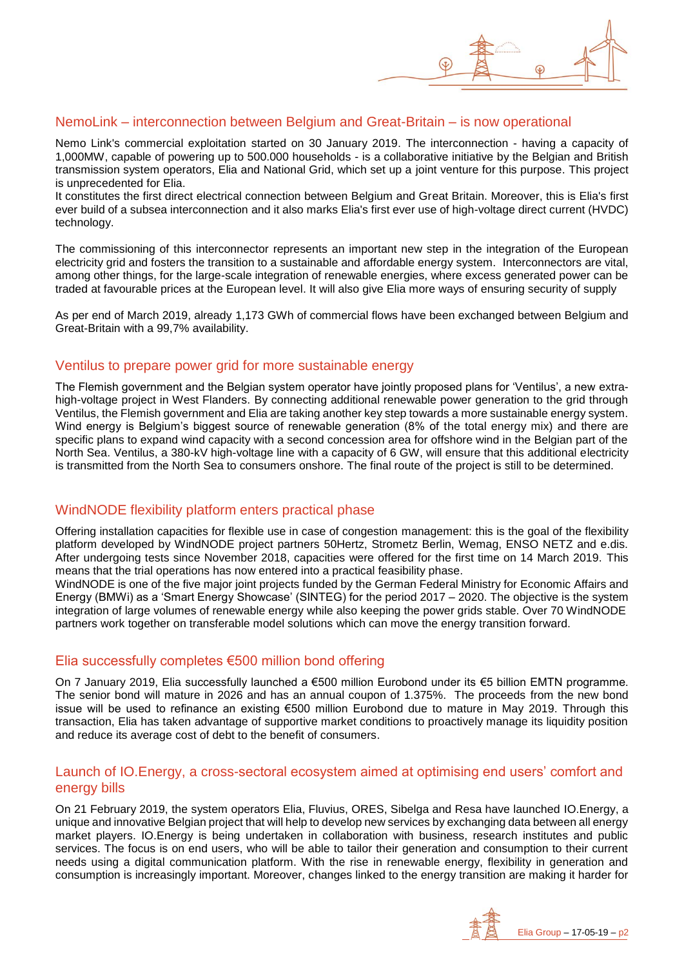### NemoLink – interconnection between Belgium and Great-Britain – is now operational

Nemo Link's commercial exploitation started on 30 January 2019. The interconnection - having a capacity of 1,000MW, capable of powering up to 500.000 households - is a collaborative initiative by the Belgian and British transmission system operators, Elia and National Grid, which set up a joint venture for this purpose. This project is unprecedented for Elia.

It constitutes the first direct electrical connection between Belgium and Great Britain. Moreover, this is Elia's first ever build of a subsea interconnection and it also marks Elia's first ever use of high-voltage direct current (HVDC) technology.

The commissioning of this interconnector represents an important new step in the integration of the European electricity grid and fosters the transition to a sustainable and affordable energy system. Interconnectors are vital, among other things, for the large-scale integration of renewable energies, where excess generated power can be traded at favourable prices at the European level. It will also give Elia more ways of ensuring security of supply

As per end of March 2019, already 1,173 GWh of commercial flows have been exchanged between Belgium and Great-Britain with a 99,7% availability.

#### Ventilus to prepare power grid for more sustainable energy

The Flemish government and the Belgian system operator have jointly proposed plans for 'Ventilus', a new extrahigh-voltage project in West Flanders. By connecting additional renewable power generation to the grid through Ventilus, the Flemish government and Elia are taking another key step towards a more sustainable energy system. Wind energy is Belgium's biggest source of renewable generation (8% of the total energy mix) and there are specific plans to expand wind capacity with a second concession area for offshore wind in the Belgian part of the North Sea. Ventilus, a 380-kV high-voltage line with a capacity of 6 GW, will ensure that this additional electricity is transmitted from the North Sea to consumers onshore. The final route of the project is still to be determined.

# WindNODE flexibility platform enters practical phase

Offering installation capacities for flexible use in case of congestion management: this is the goal of the flexibility platform developed by WindNODE project partners 50Hertz, Strometz Berlin, Wemag, ENSO NETZ and e.dis. After undergoing tests since November 2018, capacities were offered for the first time on 14 March 2019. This means that the trial operations has now entered into a practical feasibility phase.

WindNODE is one of the five major joint projects funded by the German Federal Ministry for Economic Affairs and Energy (BMWi) as a 'Smart Energy Showcase' (SINTEG) for the period 2017 – 2020. The objective is the system integration of large volumes of renewable energy while also keeping the power grids stable. Over 70 WindNODE partners work together on transferable model solutions which can move the energy transition forward.

# Elia successfully completes €500 million bond offering

On 7 January 2019, Elia successfully launched a €500 million Eurobond under its €5 billion EMTN programme. The senior bond will mature in 2026 and has an annual coupon of 1.375%. The proceeds from the new bond issue will be used to refinance an existing €500 million Eurobond due to mature in May 2019. Through this transaction, Elia has taken advantage of supportive market conditions to proactively manage its liquidity position and reduce its average cost of debt to the benefit of consumers.

#### Launch of IO.Energy, a cross-sectoral ecosystem aimed at optimising end users' comfort and energy bills

On 21 February 2019, the system operators Elia, Fluvius, ORES, Sibelga and Resa have launched IO.Energy, a unique and innovative Belgian project that will help to develop new services by exchanging data between all energy market players. IO.Energy is being undertaken in collaboration with business, research institutes and public services. The focus is on end users, who will be able to tailor their generation and consumption to their current needs using a digital communication platform. With the rise in renewable energy, flexibility in generation and consumption is increasingly important. Moreover, changes linked to the energy transition are making it harder for

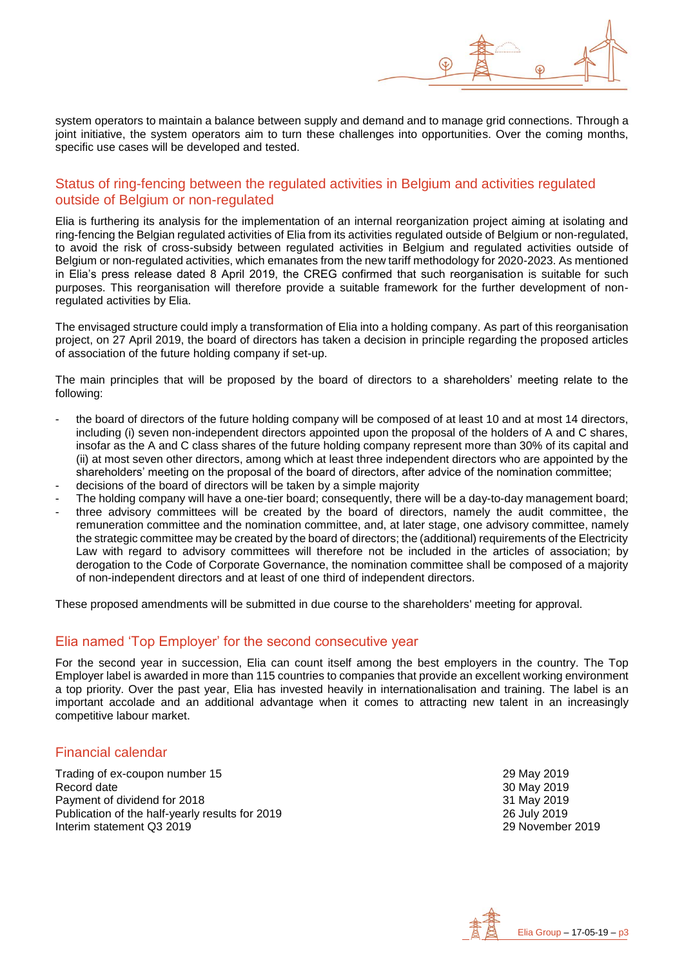

system operators to maintain a balance between supply and demand and to manage grid connections. Through a joint initiative, the system operators aim to turn these challenges into opportunities. Over the coming months, specific use cases will be developed and tested.

#### Status of ring-fencing between the regulated activities in Belgium and activities regulated outside of Belgium or non-regulated

Elia is furthering its analysis for the implementation of an internal reorganization project aiming at isolating and ring-fencing the Belgian regulated activities of Elia from its activities regulated outside of Belgium or non-regulated, to avoid the risk of cross-subsidy between regulated activities in Belgium and regulated activities outside of Belgium or non-regulated activities, which emanates from the new tariff methodology for 2020-2023. As mentioned in Elia's press release dated 8 April 2019, the CREG confirmed that such reorganisation is suitable for such purposes. This reorganisation will therefore provide a suitable framework for the further development of nonregulated activities by Elia.

The envisaged structure could imply a transformation of Elia into a holding company. As part of this reorganisation project, on 27 April 2019, the board of directors has taken a decision in principle regarding the proposed articles of association of the future holding company if set-up.

The main principles that will be proposed by the board of directors to a shareholders' meeting relate to the following:

- the board of directors of the future holding company will be composed of at least 10 and at most 14 directors, including (i) seven non-independent directors appointed upon the proposal of the holders of A and C shares, insofar as the A and C class shares of the future holding company represent more than 30% of its capital and (ii) at most seven other directors, among which at least three independent directors who are appointed by the shareholders' meeting on the proposal of the board of directors, after advice of the nomination committee;
- decisions of the board of directors will be taken by a simple majority
- The holding company will have a one-tier board; consequently, there will be a day-to-day management board;
- three advisory committees will be created by the board of directors, namely the audit committee, the remuneration committee and the nomination committee, and, at later stage, one advisory committee, namely the strategic committee may be created by the board of directors; the (additional) requirements of the Electricity Law with regard to advisory committees will therefore not be included in the articles of association; by derogation to the Code of Corporate Governance, the nomination committee shall be composed of a majority of non-independent directors and at least of one third of independent directors.

These proposed amendments will be submitted in due course to the shareholders' meeting for approval.

#### Elia named 'Top Employer' for the second consecutive year

For the second year in succession, Elia can count itself among the best employers in the country. The Top Employer label is awarded in more than 115 countries to companies that provide an excellent working environment a top priority. Over the past year, Elia has invested heavily in internationalisation and training. The label is an important accolade and an additional advantage when it comes to attracting new talent in an increasingly competitive labour market.

#### Financial calendar

Trading of ex-coupon number 15 29 May 2019<br>Record date 30 May 2019 Payment of dividend for 2018 Publication of the half-yearly results for 2019<br>
Interim statement Q3 2019<br>
29 November 2019 Interim statement Q3 2019

30 May 2019<br>31 May 2019